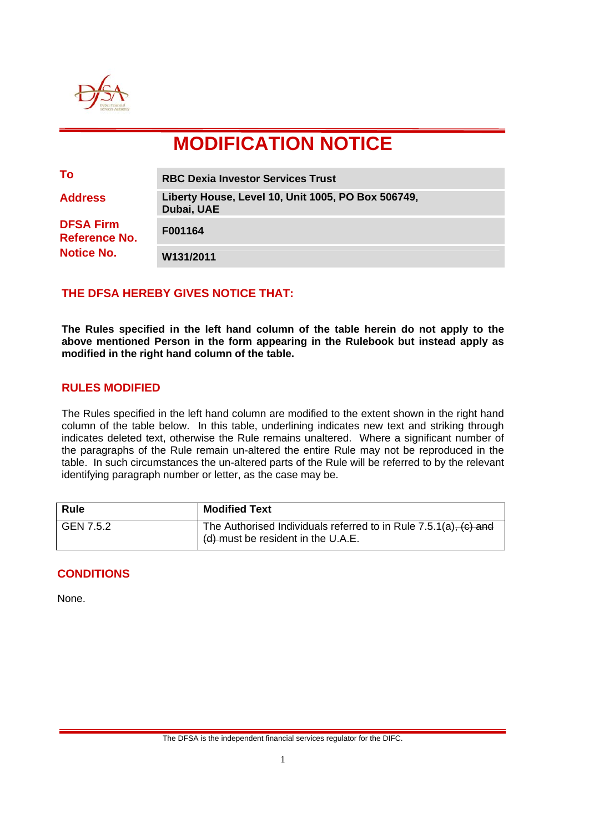

# **MODIFICATION NOTICE**

| To                                       | <b>RBC Dexia Investor Services Trust</b>                         |
|------------------------------------------|------------------------------------------------------------------|
| <b>Address</b>                           | Liberty House, Level 10, Unit 1005, PO Box 506749,<br>Dubai, UAE |
| <b>DFSA Firm</b><br><b>Reference No.</b> | F001164                                                          |
| <b>Notice No.</b>                        | W131/2011                                                        |
|                                          |                                                                  |

# **THE DFSA HEREBY GIVES NOTICE THAT:**

**The Rules specified in the left hand column of the table herein do not apply to the above mentioned Person in the form appearing in the Rulebook but instead apply as modified in the right hand column of the table.** 

### **RULES MODIFIED**

The Rules specified in the left hand column are modified to the extent shown in the right hand column of the table below. In this table, underlining indicates new text and striking through indicates deleted text, otherwise the Rule remains unaltered. Where a significant number of the paragraphs of the Rule remain un-altered the entire Rule may not be reproduced in the table. In such circumstances the un-altered parts of the Rule will be referred to by the relevant identifying paragraph number or letter, as the case may be.

| <b>Rule</b> | <b>Modified Text</b>                                                                                                 |
|-------------|----------------------------------------------------------------------------------------------------------------------|
| GEN 7.5.2   | The Authorised Individuals referred to in Rule 7.5.1(a), (c) and<br>$\frac{1}{2}$ (d)-must be resident in the U.A.E. |

## **CONDITIONS**

None.